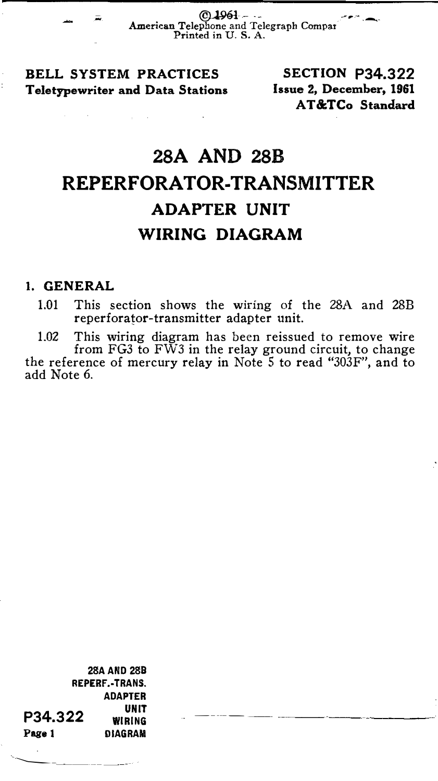C 1961 ----<br>American Telephone and Telegraph Compar Printed in U. S. A.

BELL SYSTEM PRACTICES Teletypewriter and Data Stations

"'

SECTION P34.322 Issue 2, December, 1961 AT&TCo Standard

## 28A AND 28B REPERFORATOR-TRANSMITTER ADAPTER UNIT WIRING DIAGRAM

## 1. GENERAL

1.01 This section shows the wiring of the 28A and 28B reperforator-transmitter adapter unit.

1.02 This wiring diagram has been reissued to remove wire from FG3 to FW3 in the relay ground circuit, to change the reference of mercury relay in Note 5 to read "303F", and to add Note 6.

�-----

28AAND 288 REPERF.-TRANS. P34.322 ADAPTER UNIT WIRING Page 1 DIAGRAM

--------------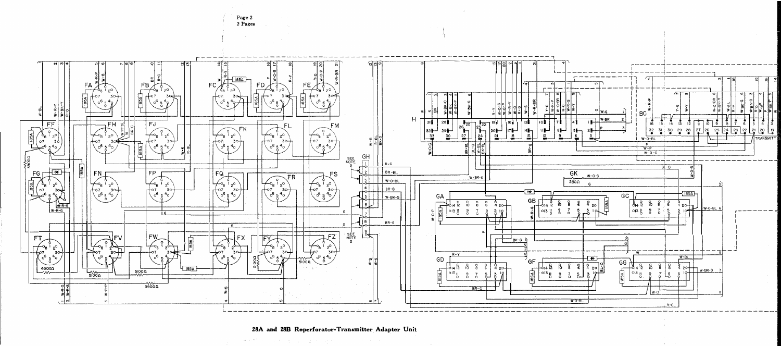

28A and 28B Reperforator-Transmitter Adapter Unit

where  $\mathcal{P}^{(k)}$  is a simple polynomial  $\mathcal{P}^{(k)}$  and  $\mathcal{P}^{(k)}$  is a simple polynomial of